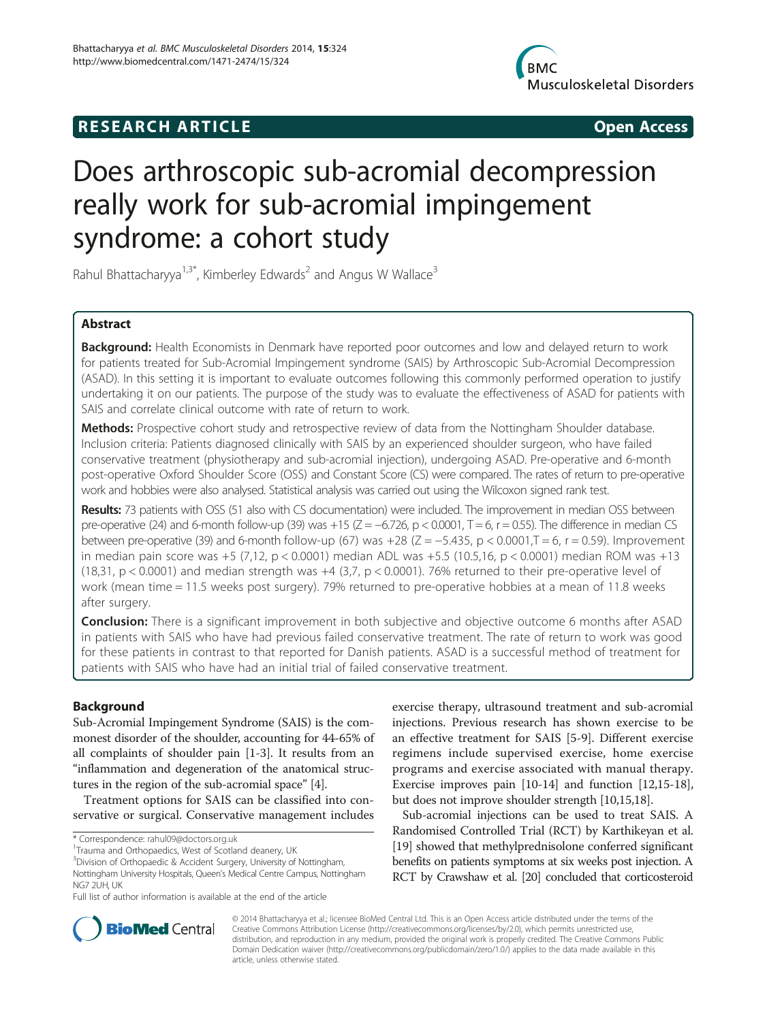# **RESEARCH ARTICLE Example 2014 CONSIDERING CONSIDERING CONSIDERING CONSIDERING CONSIDERING CONSIDERING CONSIDERING CONSIDERING CONSIDERING CONSIDERING CONSIDERING CONSIDERING CONSIDERING CONSIDERING CONSIDERING CONSIDE**



# Does arthroscopic sub-acromial decompression really work for sub-acromial impingement syndrome: a cohort study

Rahul Bhattacharyya<sup>1,3\*</sup>, Kimberley Edwards<sup>2</sup> and Angus W Wallace<sup>3</sup>

# Abstract

Background: Health Economists in Denmark have reported poor outcomes and low and delayed return to work for patients treated for Sub-Acromial Impingement syndrome (SAIS) by Arthroscopic Sub-Acromial Decompression (ASAD). In this setting it is important to evaluate outcomes following this commonly performed operation to justify undertaking it on our patients. The purpose of the study was to evaluate the effectiveness of ASAD for patients with SAIS and correlate clinical outcome with rate of return to work.

Methods: Prospective cohort study and retrospective review of data from the Nottingham Shoulder database. Inclusion criteria: Patients diagnosed clinically with SAIS by an experienced shoulder surgeon, who have failed conservative treatment (physiotherapy and sub-acromial injection), undergoing ASAD. Pre-operative and 6-month post-operative Oxford Shoulder Score (OSS) and Constant Score (CS) were compared. The rates of return to pre-operative work and hobbies were also analysed. Statistical analysis was carried out using the Wilcoxon signed rank test.

Results: 73 patients with OSS (51 also with CS documentation) were included. The improvement in median OSS between pre-operative (24) and 6-month follow-up (39) was +15 ( $Z = -6.726$ ,  $p < 0.0001$ , T = 6, r = 0.55). The difference in median CS between pre-operative (39) and 6-month follow-up (67) was  $+28$  (Z =  $-5.435$ , p < 0.0001,T = 6, r = 0.59). Improvement in median pain score was +5 (7,12, p < 0.0001) median ADL was +5.5 (10.5,16, p < 0.0001) median ROM was +13 (18,31,  $p < 0.0001$ ) and median strength was  $+4$  (3,7,  $p < 0.0001$ ). 76% returned to their pre-operative level of work (mean time = 11.5 weeks post surgery). 79% returned to pre-operative hobbies at a mean of 11.8 weeks after surgery.

**Conclusion:** There is a significant improvement in both subjective and objective outcome 6 months after ASAD in patients with SAIS who have had previous failed conservative treatment. The rate of return to work was good for these patients in contrast to that reported for Danish patients. ASAD is a successful method of treatment for patients with SAIS who have had an initial trial of failed conservative treatment.

# Background

Sub-Acromial Impingement Syndrome (SAIS) is the commonest disorder of the shoulder, accounting for 44-65% of all complaints of shoulder pain [[1-3](#page-5-0)]. It results from an "inflammation and degeneration of the anatomical structures in the region of the sub-acromial space" [\[4](#page-5-0)].

Treatment options for SAIS can be classified into conservative or surgical. Conservative management includes

<sup>1</sup>Trauma and Orthopaedics, West of Scotland deanery, UK

<sup>3</sup> Division of Orthopaedic & Accident Surgery, University of Nottingham,

exercise therapy, ultrasound treatment and sub-acromial injections. Previous research has shown exercise to be an effective treatment for SAIS [\[5-9](#page-5-0)]. Different exercise regimens include supervised exercise, home exercise programs and exercise associated with manual therapy. Exercise improves pain [\[10](#page-5-0)[-14\]](#page-6-0) and function [\[12,](#page-5-0)[15](#page-6-0)-[18](#page-6-0)], but does not improve shoulder strength [\[10,](#page-5-0)[15,18](#page-6-0)].

Sub-acromial injections can be used to treat SAIS. A Randomised Controlled Trial (RCT) by Karthikeyan et al. [[19](#page-6-0)] showed that methylprednisolone conferred significant benefits on patients symptoms at six weeks post injection. A RCT by Crawshaw et al. [\[20](#page-6-0)] concluded that corticosteroid



© 2014 Bhattacharyya et al.; licensee BioMed Central Ltd. This is an Open Access article distributed under the terms of the Creative Commons Attribution License (<http://creativecommons.org/licenses/by/2.0>), which permits unrestricted use, distribution, and reproduction in any medium, provided the original work is properly credited. The Creative Commons Public Domain Dedication waiver [\(http://creativecommons.org/publicdomain/zero/1.0/\)](http://creativecommons.org/publicdomain/zero/1.0/) applies to the data made available in this article, unless otherwise stated.

<sup>\*</sup> Correspondence: [rahul09@doctors.org.uk](mailto:rahul09@doctors.org.uk) <sup>1</sup>

Nottingham University Hospitals, Queen's Medical Centre Campus, Nottingham NG7 2UH, UK

Full list of author information is available at the end of the article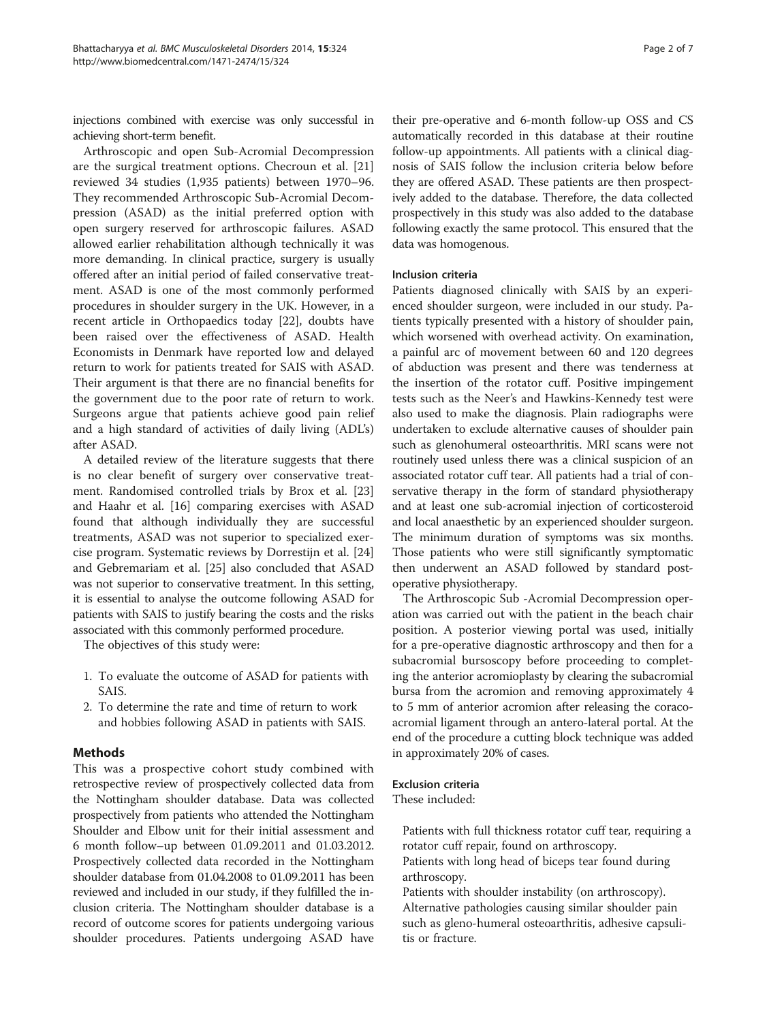injections combined with exercise was only successful in achieving short-term benefit.

Arthroscopic and open Sub-Acromial Decompression are the surgical treatment options. Checroun et al. [[21](#page-6-0)] reviewed 34 studies (1,935 patients) between 1970–96. They recommended Arthroscopic Sub-Acromial Decompression (ASAD) as the initial preferred option with open surgery reserved for arthroscopic failures. ASAD allowed earlier rehabilitation although technically it was more demanding. In clinical practice, surgery is usually offered after an initial period of failed conservative treatment. ASAD is one of the most commonly performed procedures in shoulder surgery in the UK. However, in a recent article in Orthopaedics today [[22](#page-6-0)], doubts have been raised over the effectiveness of ASAD. Health Economists in Denmark have reported low and delayed return to work for patients treated for SAIS with ASAD. Their argument is that there are no financial benefits for the government due to the poor rate of return to work. Surgeons argue that patients achieve good pain relief and a high standard of activities of daily living (ADL's) after ASAD.

A detailed review of the literature suggests that there is no clear benefit of surgery over conservative treatment. Randomised controlled trials by Brox et al. [[23](#page-6-0)] and Haahr et al. [\[16](#page-6-0)] comparing exercises with ASAD found that although individually they are successful treatments, ASAD was not superior to specialized exercise program. Systematic reviews by Dorrestijn et al. [[24](#page-6-0)] and Gebremariam et al. [[25](#page-6-0)] also concluded that ASAD was not superior to conservative treatment. In this setting, it is essential to analyse the outcome following ASAD for patients with SAIS to justify bearing the costs and the risks associated with this commonly performed procedure.

The objectives of this study were:

- 1. To evaluate the outcome of ASAD for patients with SAIS.
- 2. To determine the rate and time of return to work and hobbies following ASAD in patients with SAIS.

# Methods

This was a prospective cohort study combined with retrospective review of prospectively collected data from the Nottingham shoulder database. Data was collected prospectively from patients who attended the Nottingham Shoulder and Elbow unit for their initial assessment and 6 month follow–up between 01.09.2011 and 01.03.2012. Prospectively collected data recorded in the Nottingham shoulder database from 01.04.2008 to 01.09.2011 has been reviewed and included in our study, if they fulfilled the inclusion criteria. The Nottingham shoulder database is a record of outcome scores for patients undergoing various shoulder procedures. Patients undergoing ASAD have

their pre-operative and 6-month follow-up OSS and CS automatically recorded in this database at their routine follow-up appointments. All patients with a clinical diagnosis of SAIS follow the inclusion criteria below before they are offered ASAD. These patients are then prospectively added to the database. Therefore, the data collected prospectively in this study was also added to the database following exactly the same protocol. This ensured that the data was homogenous.

# Inclusion criteria

Patients diagnosed clinically with SAIS by an experienced shoulder surgeon, were included in our study. Patients typically presented with a history of shoulder pain, which worsened with overhead activity. On examination, a painful arc of movement between 60 and 120 degrees of abduction was present and there was tenderness at the insertion of the rotator cuff. Positive impingement tests such as the Neer's and Hawkins-Kennedy test were also used to make the diagnosis. Plain radiographs were undertaken to exclude alternative causes of shoulder pain such as glenohumeral osteoarthritis. MRI scans were not routinely used unless there was a clinical suspicion of an associated rotator cuff tear. All patients had a trial of conservative therapy in the form of standard physiotherapy and at least one sub-acromial injection of corticosteroid and local anaesthetic by an experienced shoulder surgeon. The minimum duration of symptoms was six months. Those patients who were still significantly symptomatic then underwent an ASAD followed by standard postoperative physiotherapy.

The Arthroscopic Sub -Acromial Decompression operation was carried out with the patient in the beach chair position. A posterior viewing portal was used, initially for a pre-operative diagnostic arthroscopy and then for a subacromial bursoscopy before proceeding to completing the anterior acromioplasty by clearing the subacromial bursa from the acromion and removing approximately 4 to 5 mm of anterior acromion after releasing the coracoacromial ligament through an antero-lateral portal. At the end of the procedure a cutting block technique was added in approximately 20% of cases.

# Exclusion criteria

These included:

Patients with full thickness rotator cuff tear, requiring a rotator cuff repair, found on arthroscopy.

Patients with long head of biceps tear found during arthroscopy.

Patients with shoulder instability (on arthroscopy). Alternative pathologies causing similar shoulder pain such as gleno-humeral osteoarthritis, adhesive capsulitis or fracture.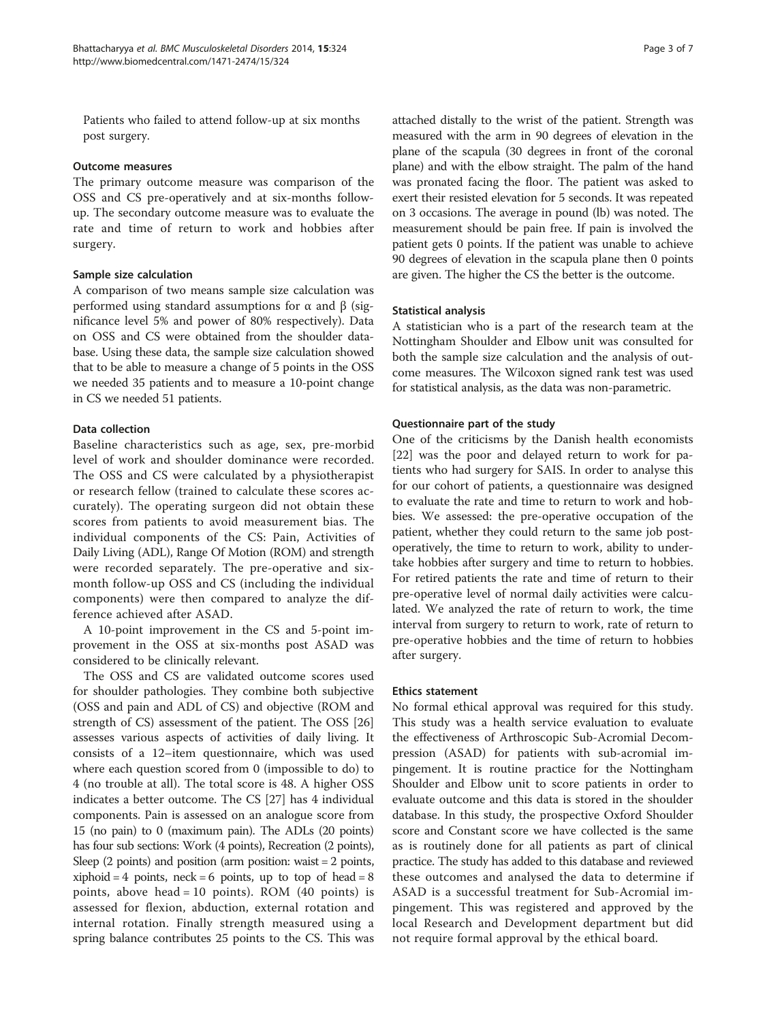Patients who failed to attend follow-up at six months post surgery.

## Outcome measures

The primary outcome measure was comparison of the OSS and CS pre-operatively and at six-months followup. The secondary outcome measure was to evaluate the rate and time of return to work and hobbies after surgery.

# Sample size calculation

A comparison of two means sample size calculation was performed using standard assumptions for α and β (significance level 5% and power of 80% respectively). Data on OSS and CS were obtained from the shoulder database. Using these data, the sample size calculation showed that to be able to measure a change of 5 points in the OSS we needed 35 patients and to measure a 10-point change in CS we needed 51 patients.

# Data collection

Baseline characteristics such as age, sex, pre-morbid level of work and shoulder dominance were recorded. The OSS and CS were calculated by a physiotherapist or research fellow (trained to calculate these scores accurately). The operating surgeon did not obtain these scores from patients to avoid measurement bias. The individual components of the CS: Pain, Activities of Daily Living (ADL), Range Of Motion (ROM) and strength were recorded separately. The pre-operative and sixmonth follow-up OSS and CS (including the individual components) were then compared to analyze the difference achieved after ASAD.

A 10-point improvement in the CS and 5-point improvement in the OSS at six-months post ASAD was considered to be clinically relevant.

The OSS and CS are validated outcome scores used for shoulder pathologies. They combine both subjective (OSS and pain and ADL of CS) and objective (ROM and strength of CS) assessment of the patient. The OSS [[26](#page-6-0)] assesses various aspects of activities of daily living. It consists of a 12–item questionnaire, which was used where each question scored from 0 (impossible to do) to 4 (no trouble at all). The total score is 48. A higher OSS indicates a better outcome. The CS [\[27\]](#page-6-0) has 4 individual components. Pain is assessed on an analogue score from 15 (no pain) to 0 (maximum pain). The ADLs (20 points) has four sub sections: Work (4 points), Recreation (2 points), Sleep  $(2 \text{ points})$  and position (arm position: waist =  $2 \text{ points}$ ,  $xiphoid = 4 points, neck = 6 points, up to top of head = 8$ points, above head = 10 points). ROM (40 points) is assessed for flexion, abduction, external rotation and internal rotation. Finally strength measured using a spring balance contributes 25 points to the CS. This was attached distally to the wrist of the patient. Strength was measured with the arm in 90 degrees of elevation in the plane of the scapula (30 degrees in front of the coronal plane) and with the elbow straight. The palm of the hand was pronated facing the floor. The patient was asked to exert their resisted elevation for 5 seconds. It was repeated on 3 occasions. The average in pound (lb) was noted. The measurement should be pain free. If pain is involved the patient gets 0 points. If the patient was unable to achieve 90 degrees of elevation in the scapula plane then 0 points are given. The higher the CS the better is the outcome.

## Statistical analysis

A statistician who is a part of the research team at the Nottingham Shoulder and Elbow unit was consulted for both the sample size calculation and the analysis of outcome measures. The Wilcoxon signed rank test was used for statistical analysis, as the data was non-parametric.

# Questionnaire part of the study

One of the criticisms by the Danish health economists [[22\]](#page-6-0) was the poor and delayed return to work for patients who had surgery for SAIS. In order to analyse this for our cohort of patients, a questionnaire was designed to evaluate the rate and time to return to work and hobbies. We assessed: the pre-operative occupation of the patient, whether they could return to the same job postoperatively, the time to return to work, ability to undertake hobbies after surgery and time to return to hobbies. For retired patients the rate and time of return to their pre-operative level of normal daily activities were calculated. We analyzed the rate of return to work, the time interval from surgery to return to work, rate of return to pre-operative hobbies and the time of return to hobbies after surgery.

#### Ethics statement

No formal ethical approval was required for this study. This study was a health service evaluation to evaluate the effectiveness of Arthroscopic Sub-Acromial Decompression (ASAD) for patients with sub-acromial impingement. It is routine practice for the Nottingham Shoulder and Elbow unit to score patients in order to evaluate outcome and this data is stored in the shoulder database. In this study, the prospective Oxford Shoulder score and Constant score we have collected is the same as is routinely done for all patients as part of clinical practice. The study has added to this database and reviewed these outcomes and analysed the data to determine if ASAD is a successful treatment for Sub-Acromial impingement. This was registered and approved by the local Research and Development department but did not require formal approval by the ethical board.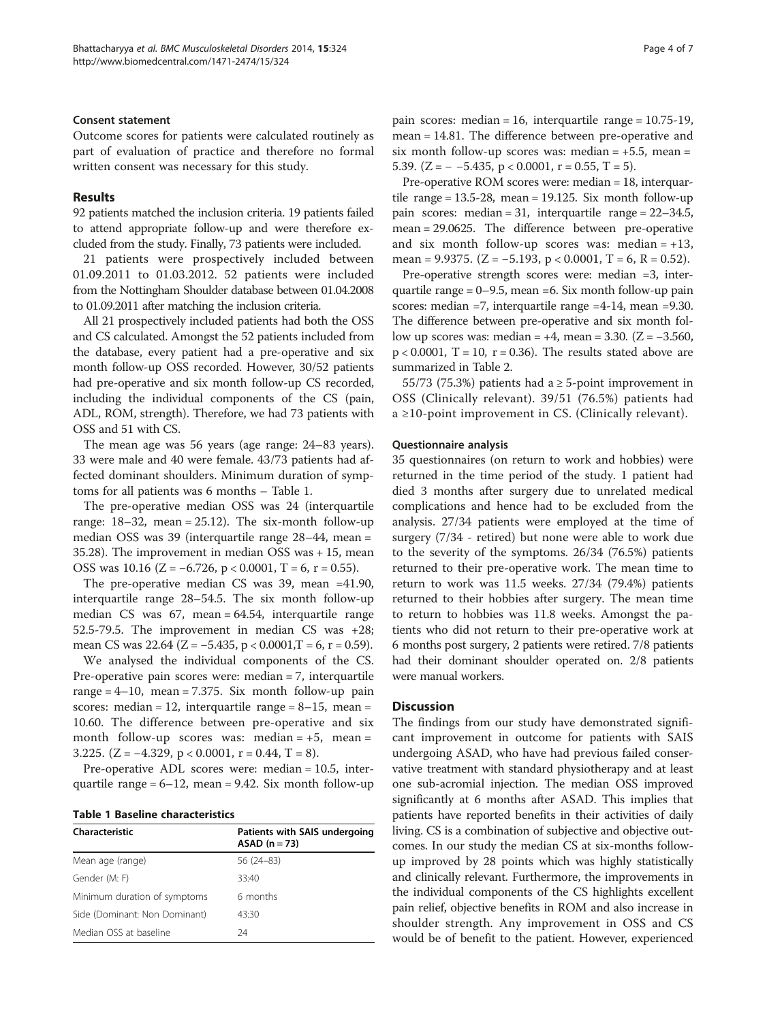### Consent statement

Outcome scores for patients were calculated routinely as part of evaluation of practice and therefore no formal written consent was necessary for this study.

# Results

92 patients matched the inclusion criteria. 19 patients failed to attend appropriate follow-up and were therefore excluded from the study. Finally, 73 patients were included.

21 patients were prospectively included between 01.09.2011 to 01.03.2012. 52 patients were included from the Nottingham Shoulder database between 01.04.2008 to 01.09.2011 after matching the inclusion criteria.

All 21 prospectively included patients had both the OSS and CS calculated. Amongst the 52 patients included from the database, every patient had a pre-operative and six month follow-up OSS recorded. However, 30/52 patients had pre-operative and six month follow-up CS recorded, including the individual components of the CS (pain, ADL, ROM, strength). Therefore, we had 73 patients with OSS and 51 with CS.

The mean age was 56 years (age range: 24–83 years). 33 were male and 40 were female. 43/73 patients had affected dominant shoulders. Minimum duration of symptoms for all patients was 6 months – Table 1.

The pre-operative median OSS was 24 (interquartile range: 18–32, mean = 25.12). The six-month follow-up median OSS was 39 (interquartile range 28–44, mean = 35.28). The improvement in median OSS was + 15, mean OSS was  $10.16$  (Z =  $-6.726$ , p < 0.0001, T = 6, r = 0.55).

The pre-operative median CS was 39, mean =41.90, interquartile range 28–54.5. The six month follow-up median CS was 67, mean = 64.54, interquartile range 52.5-79.5. The improvement in median CS was +28; mean CS was  $22.64$  (Z =  $-5.435$ , p <  $0.0001$ ,T = 6, r = 0.59).

We analysed the individual components of the CS. Pre-operative pain scores were: median = 7, interquartile range =  $4-10$ , mean = 7.375. Six month follow-up pain scores: median = 12, interquartile range =  $8-15$ , mean = 10.60. The difference between pre-operative and six month follow-up scores was: median  $= +5$ , mean  $=$ 3.225.  $(Z = -4.329, p < 0.0001, r = 0.44, T = 8)$ .

Pre-operative ADL scores were: median = 10.5, interquartile range  $= 6 - 12$ , mean  $= 9.42$ . Six month follow-up

#### Table 1 Baseline characteristics

| Characteristic                | Patients with SAIS undergoing<br>$ASAD (n = 73)$ |
|-------------------------------|--------------------------------------------------|
| Mean age (range)              | 56 (24 - 83)                                     |
| Gender (M: F)                 | 33:40                                            |
| Minimum duration of symptoms  | 6 months                                         |
| Side (Dominant: Non Dominant) | 43:30                                            |
| Median OSS at baseline        | 24                                               |

pain scores: median = 16, interquartile range = 10.75-19, mean = 14.81. The difference between pre-operative and six month follow-up scores was: median  $= +5.5$ , mean  $=$ 5.39.  $(Z = -5.435, p < 0.0001, r = 0.55, T = 5)$ .

Pre-operative ROM scores were: median = 18, interquartile range =  $13.5-28$ , mean = 19.125. Six month follow-up pain scores: median = 31, interquartile range =  $22-34.5$ , mean = 29.0625. The difference between pre-operative and six month follow-up scores was: median  $= +13$ , mean = 9.9375. (Z =  $-5.193$ , p < 0.0001, T = 6, R = 0.52).

Pre-operative strength scores were: median =3, interquartile range  $= 0-9.5$ , mean  $= 6$ . Six month follow-up pain scores: median  $=7$ , interguartile range  $=4-14$ , mean  $=9.30$ . The difference between pre-operative and six month follow up scores was: median =  $+4$ , mean = 3.30. (Z =  $-3.560$ ,  $p < 0.0001$ , T = 10, r = 0.36). The results stated above are summarized in Table [2](#page-4-0).

55/73 (75.3%) patients had a  $\geq$  5-point improvement in OSS (Clinically relevant). 39/51 (76.5%) patients had a ≥10-point improvement in CS. (Clinically relevant).

## Questionnaire analysis

35 questionnaires (on return to work and hobbies) were returned in the time period of the study. 1 patient had died 3 months after surgery due to unrelated medical complications and hence had to be excluded from the analysis. 27/34 patients were employed at the time of surgery (7/34 - retired) but none were able to work due to the severity of the symptoms. 26/34 (76.5%) patients returned to their pre-operative work. The mean time to return to work was 11.5 weeks. 27/34 (79.4%) patients returned to their hobbies after surgery. The mean time to return to hobbies was 11.8 weeks. Amongst the patients who did not return to their pre-operative work at 6 months post surgery, 2 patients were retired. 7/8 patients had their dominant shoulder operated on. 2/8 patients were manual workers.

# **Discussion**

The findings from our study have demonstrated significant improvement in outcome for patients with SAIS undergoing ASAD, who have had previous failed conservative treatment with standard physiotherapy and at least one sub-acromial injection. The median OSS improved significantly at 6 months after ASAD. This implies that patients have reported benefits in their activities of daily living. CS is a combination of subjective and objective outcomes. In our study the median CS at six-months followup improved by 28 points which was highly statistically and clinically relevant. Furthermore, the improvements in the individual components of the CS highlights excellent pain relief, objective benefits in ROM and also increase in shoulder strength. Any improvement in OSS and CS would be of benefit to the patient. However, experienced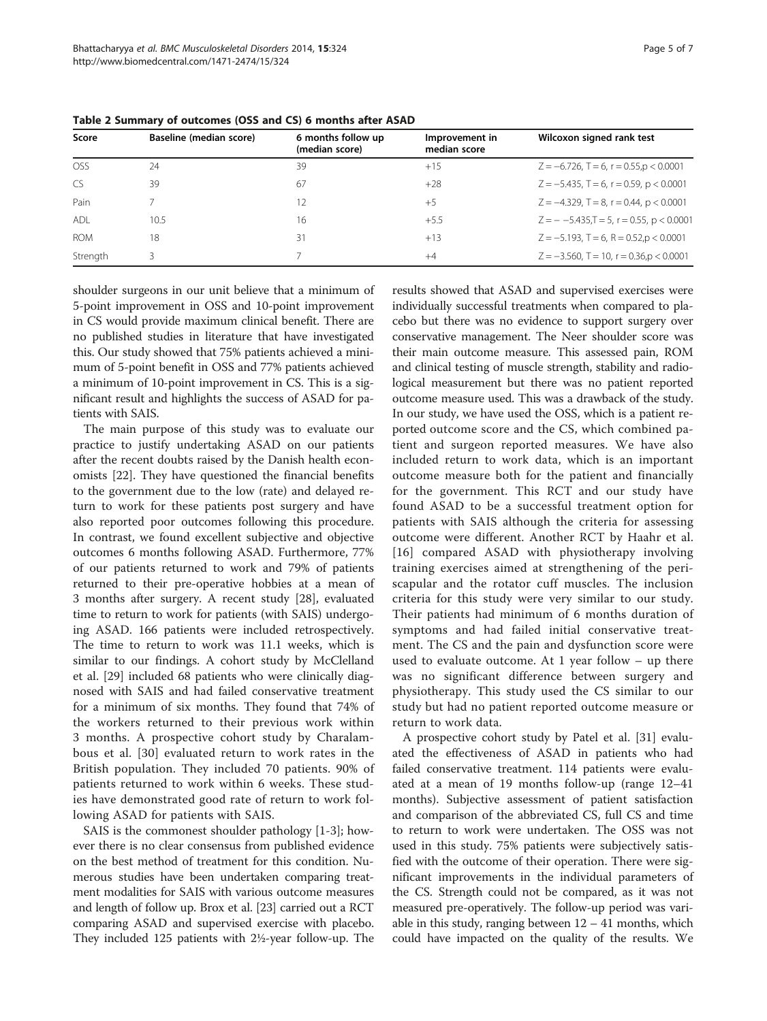| Score      | Baseline (median score) | 6 months follow up<br>(median score) | Improvement in<br>median score | Wilcoxon signed rank test                  |
|------------|-------------------------|--------------------------------------|--------------------------------|--------------------------------------------|
| OSS        | 24                      | 39                                   | $+15$                          | $Z = -6.726$ , T = 6, r = 0.55,p < 0.0001  |
| CS.        | 39                      | 67                                   | $+28$                          | $Z = -5.435$ , T = 6, r = 0.59, p < 0.0001 |
| Pain       |                         | 12                                   | $+5$                           | $Z = -4.329$ , T = 8, r = 0.44, p < 0.0001 |
| ADL        | 10.5                    | 16                                   | $+5.5$                         | $Z = -5.435$ , T = 5, r = 0.55, p < 0.0001 |
| <b>ROM</b> | 18                      | 31                                   | $+13$                          | $Z = -5.193$ , T = 6, R = 0.52,p < 0.0001  |
| Strength   |                         |                                      | $+4$                           | $Z = -3.560$ , T = 10, r = 0.36,p < 0.0001 |

<span id="page-4-0"></span>Table 2 Summary of outcomes (OSS and CS) 6 months after ASAD

shoulder surgeons in our unit believe that a minimum of 5-point improvement in OSS and 10-point improvement in CS would provide maximum clinical benefit. There are no published studies in literature that have investigated this. Our study showed that 75% patients achieved a minimum of 5-point benefit in OSS and 77% patients achieved a minimum of 10-point improvement in CS. This is a significant result and highlights the success of ASAD for patients with SAIS.

The main purpose of this study was to evaluate our practice to justify undertaking ASAD on our patients after the recent doubts raised by the Danish health economists [\[22](#page-6-0)]. They have questioned the financial benefits to the government due to the low (rate) and delayed return to work for these patients post surgery and have also reported poor outcomes following this procedure. In contrast, we found excellent subjective and objective outcomes 6 months following ASAD. Furthermore, 77% of our patients returned to work and 79% of patients returned to their pre-operative hobbies at a mean of 3 months after surgery. A recent study [\[28](#page-6-0)], evaluated time to return to work for patients (with SAIS) undergoing ASAD. 166 patients were included retrospectively. The time to return to work was 11.1 weeks, which is similar to our findings. A cohort study by McClelland et al. [\[29](#page-6-0)] included 68 patients who were clinically diagnosed with SAIS and had failed conservative treatment for a minimum of six months. They found that 74% of the workers returned to their previous work within 3 months. A prospective cohort study by Charalambous et al. [[30](#page-6-0)] evaluated return to work rates in the British population. They included 70 patients. 90% of patients returned to work within 6 weeks. These studies have demonstrated good rate of return to work following ASAD for patients with SAIS.

SAIS is the commonest shoulder pathology [\[1](#page-5-0)-[3](#page-5-0)]; however there is no clear consensus from published evidence on the best method of treatment for this condition. Numerous studies have been undertaken comparing treatment modalities for SAIS with various outcome measures and length of follow up. Brox et al. [\[23\]](#page-6-0) carried out a RCT comparing ASAD and supervised exercise with placebo. They included 125 patients with 2½-year follow-up. The

results showed that ASAD and supervised exercises were individually successful treatments when compared to placebo but there was no evidence to support surgery over conservative management. The Neer shoulder score was their main outcome measure. This assessed pain, ROM and clinical testing of muscle strength, stability and radiological measurement but there was no patient reported outcome measure used. This was a drawback of the study. In our study, we have used the OSS, which is a patient reported outcome score and the CS, which combined patient and surgeon reported measures. We have also included return to work data, which is an important outcome measure both for the patient and financially for the government. This RCT and our study have found ASAD to be a successful treatment option for patients with SAIS although the criteria for assessing outcome were different. Another RCT by Haahr et al. [[16](#page-6-0)] compared ASAD with physiotherapy involving training exercises aimed at strengthening of the periscapular and the rotator cuff muscles. The inclusion criteria for this study were very similar to our study. Their patients had minimum of 6 months duration of symptoms and had failed initial conservative treatment. The CS and the pain and dysfunction score were used to evaluate outcome. At 1 year follow – up there was no significant difference between surgery and physiotherapy. This study used the CS similar to our study but had no patient reported outcome measure or return to work data.

A prospective cohort study by Patel et al. [[31\]](#page-6-0) evaluated the effectiveness of ASAD in patients who had failed conservative treatment. 114 patients were evaluated at a mean of 19 months follow-up (range 12–41 months). Subjective assessment of patient satisfaction and comparison of the abbreviated CS, full CS and time to return to work were undertaken. The OSS was not used in this study. 75% patients were subjectively satisfied with the outcome of their operation. There were significant improvements in the individual parameters of the CS. Strength could not be compared, as it was not measured pre-operatively. The follow-up period was variable in this study, ranging between  $12 - 41$  months, which could have impacted on the quality of the results. We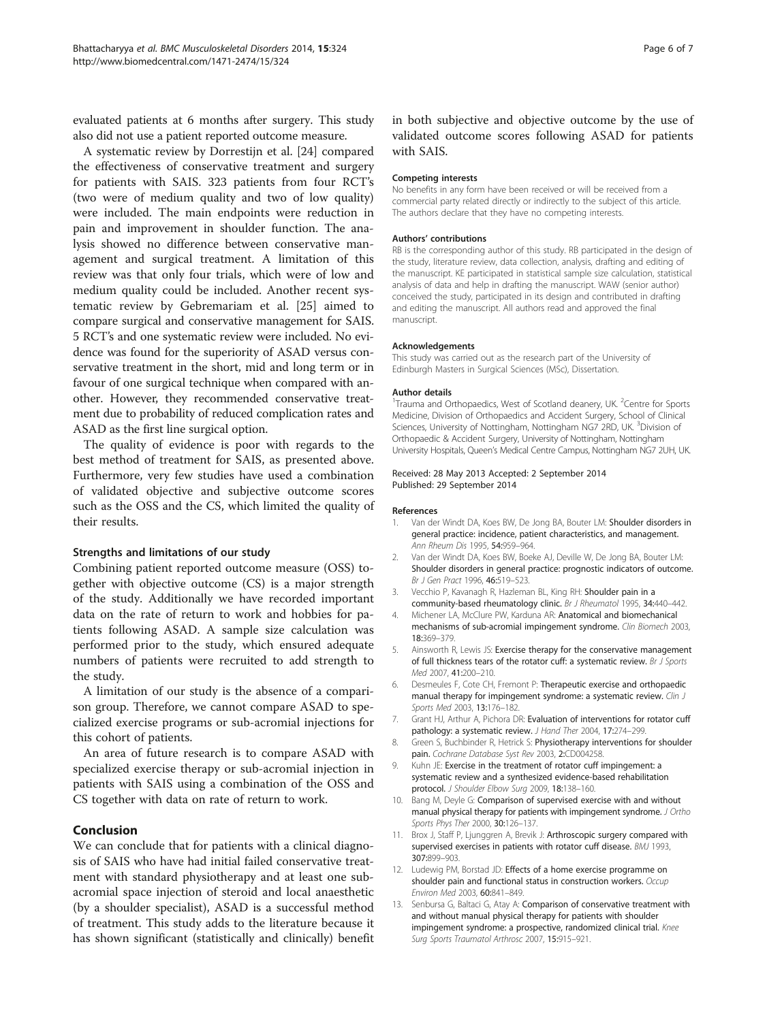<span id="page-5-0"></span>evaluated patients at 6 months after surgery. This study also did not use a patient reported outcome measure.

A systematic review by Dorrestijn et al. [[24\]](#page-6-0) compared the effectiveness of conservative treatment and surgery for patients with SAIS. 323 patients from four RCT's (two were of medium quality and two of low quality) were included. The main endpoints were reduction in pain and improvement in shoulder function. The analysis showed no difference between conservative management and surgical treatment. A limitation of this review was that only four trials, which were of low and medium quality could be included. Another recent systematic review by Gebremariam et al. [\[25\]](#page-6-0) aimed to compare surgical and conservative management for SAIS. 5 RCT's and one systematic review were included. No evidence was found for the superiority of ASAD versus conservative treatment in the short, mid and long term or in favour of one surgical technique when compared with another. However, they recommended conservative treatment due to probability of reduced complication rates and ASAD as the first line surgical option.

The quality of evidence is poor with regards to the best method of treatment for SAIS, as presented above. Furthermore, very few studies have used a combination of validated objective and subjective outcome scores such as the OSS and the CS, which limited the quality of their results.

# Strengths and limitations of our study

Combining patient reported outcome measure (OSS) together with objective outcome (CS) is a major strength of the study. Additionally we have recorded important data on the rate of return to work and hobbies for patients following ASAD. A sample size calculation was performed prior to the study, which ensured adequate numbers of patients were recruited to add strength to the study.

A limitation of our study is the absence of a comparison group. Therefore, we cannot compare ASAD to specialized exercise programs or sub-acromial injections for this cohort of patients.

An area of future research is to compare ASAD with specialized exercise therapy or sub-acromial injection in patients with SAIS using a combination of the OSS and CS together with data on rate of return to work.

# Conclusion

We can conclude that for patients with a clinical diagnosis of SAIS who have had initial failed conservative treatment with standard physiotherapy and at least one subacromial space injection of steroid and local anaesthetic (by a shoulder specialist), ASAD is a successful method of treatment. This study adds to the literature because it has shown significant (statistically and clinically) benefit

in both subjective and objective outcome by the use of validated outcome scores following ASAD for patients with SAIS.

#### Competing interests

No benefits in any form have been received or will be received from a commercial party related directly or indirectly to the subject of this article. The authors declare that they have no competing interests.

#### Authors' contributions

RB is the corresponding author of this study. RB participated in the design of the study, literature review, data collection, analysis, drafting and editing of the manuscript. KE participated in statistical sample size calculation, statistical analysis of data and help in drafting the manuscript. WAW (senior author) conceived the study, participated in its design and contributed in drafting and editing the manuscript. All authors read and approved the final manuscript.

#### Acknowledgements

This study was carried out as the research part of the University of Edinburgh Masters in Surgical Sciences (MSc), Dissertation.

#### Author details

<sup>1</sup>Trauma and Orthopaedics, West of Scotland deanery, UK. <sup>2</sup>Centre for Sports Medicine, Division of Orthopaedics and Accident Surgery, School of Clinical Sciences, University of Nottingham, Nottingham NG7 2RD, UK. <sup>3</sup>Division of Orthopaedic & Accident Surgery, University of Nottingham, Nottingham University Hospitals, Queen's Medical Centre Campus, Nottingham NG7 2UH, UK.

#### Received: 28 May 2013 Accepted: 2 September 2014 Published: 29 September 2014

#### References

- 1. Van der Windt DA, Koes BW, De Jong BA, Bouter LM: Shoulder disorders in general practice: incidence, patient characteristics, and management. Ann Rheum Dis 1995, 54:959–964.
- 2. Van der Windt DA, Koes BW, Boeke AJ, Deville W, De Jong BA, Bouter LM: Shoulder disorders in general practice: prognostic indicators of outcome. Br J Gen Pract 1996, 46:519–523.
- 3. Vecchio P, Kavanagh R, Hazleman BL, King RH: Shoulder pain in a community-based rheumatology clinic. Br J Rheumatol 1995, 34:440–442.
- 4. Michener LA, McClure PW, Karduna AR: Anatomical and biomechanical mechanisms of sub-acromial impingement syndrome. Clin Biomech 2003, 18:369–379.
- 5. Ainsworth R, Lewis JS: Exercise therapy for the conservative management of full thickness tears of the rotator cuff: a systematic review. Br J Sports Med 2007, 41:200–210.
- 6. Desmeules F, Cote CH, Fremont P: Therapeutic exercise and orthopaedic manual therapy for impingement syndrome: a systematic review. Clin J Sports Med 2003, 13:176–182.
- 7. Grant HJ, Arthur A, Pichora DR: Evaluation of interventions for rotator cuff pathology: a systematic review. J Hand Ther 2004, 17:274-299.
- 8. Green S, Buchbinder R, Hetrick S: Physiotherapy interventions for shoulder pain. Cochrane Database Syst Rev 2003, 2:CD004258.
- 9. Kuhn JE: Exercise in the treatment of rotator cuff impingement: a systematic review and a synthesized evidence-based rehabilitation protocol. J Shoulder Elbow Surg 2009, 18:138–160.
- 10. Bang M, Deyle G: Comparison of supervised exercise with and without manual physical therapy for patients with impingement syndrome. J Ortho Sports Phys Ther 2000, 30:126-137.
- 11. Brox J, Staff P, Ljunggren A, Brevik J: Arthroscopic surgery compared with supervised exercises in patients with rotator cuff disease. BMJ 1993, 307:899–903.
- 12. Ludewig PM, Borstad JD: Effects of a home exercise programme on shoulder pain and functional status in construction workers. Occup Environ Med 2003, 60:841–849.
- 13. Senbursa G, Baltaci G, Atay A: Comparison of conservative treatment with and without manual physical therapy for patients with shoulder impingement syndrome: a prospective, randomized clinical trial. Knee Surg Sports Traumatol Arthrosc 2007, 15:915–921.